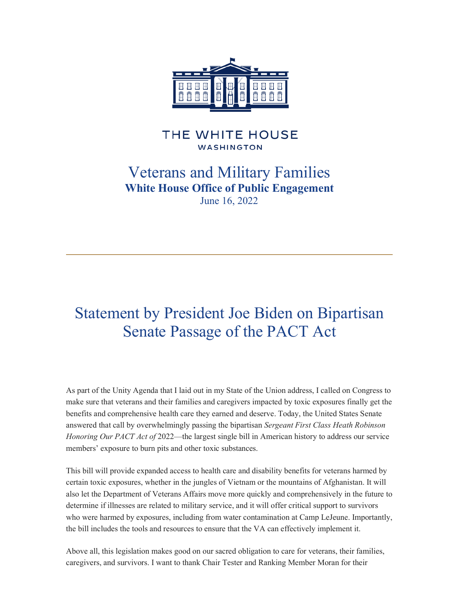

## THE WHITE HOUSE **WASHINGTON**

## Veterans and Military Families **White House Office of Public Engagement** June 16, 2022

## Statement by President Joe Biden on Bipartisan Senate Passage of the PACT Act

As part of the Unity Agenda that I laid out in my State of the Union address, I called on Congress to make sure that veterans and their families and caregivers impacted by toxic exposures finally get the benefits and comprehensive health care they earned and deserve. Today, the United States Senate answered that call by overwhelmingly passing the bipartisan *Sergeant First Class Heath Robinson Honoring Our PACT Act of* 2022—the largest single bill in American history to address our service members' exposure to burn pits and other toxic substances.

This bill will provide expanded access to health care and disability benefits for veterans harmed by certain toxic exposures, whether in the jungles of Vietnam or the mountains of Afghanistan. It will also let the Department of Veterans Affairs move more quickly and comprehensively in the future to determine if illnesses are related to military service, and it will offer critical support to survivors who were harmed by exposures, including from water contamination at Camp LeJeune. Importantly, the bill includes the tools and resources to ensure that the VA can effectively implement it.

Above all, this legislation makes good on our sacred obligation to care for veterans, their families, caregivers, and survivors. I want to thank Chair Tester and Ranking Member Moran for their